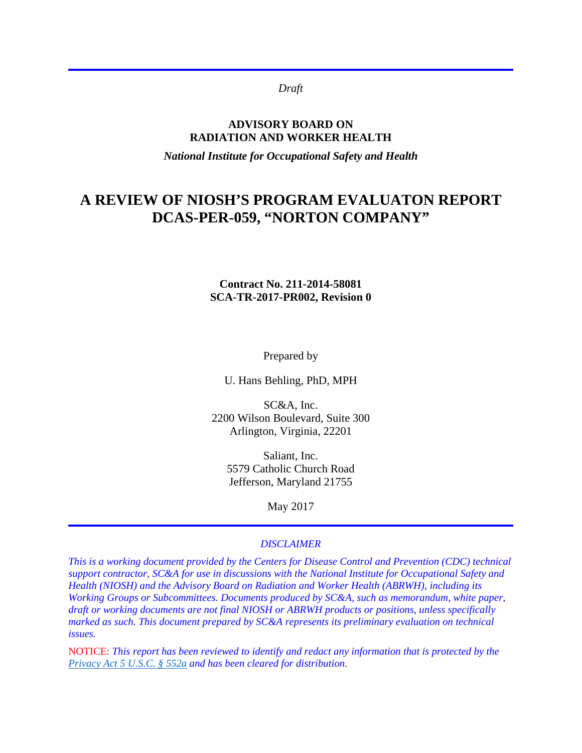*Draft*

#### **ADVISORY BOARD ON RADIATION AND WORKER HEALTH**

*National Institute for Occupational Safety and Health*

# **A REVIEW OF NIOSH'S PROGRAM EVALUATON REPORT DCAS-PER-059, "NORTON COMPANY"**

#### **Contract No. 211-2014-58081 SCA-TR-2017-PR002, Revision 0**

Prepared by

U. Hans Behling, PhD, MPH

SC&A, Inc. 2200 Wilson Boulevard, Suite 300 Arlington, Virginia, 22201

Saliant, Inc. 5579 Catholic Church Road Jefferson, Maryland 21755

May 2017

#### *DISCLAIMER*

*This is a working document provided by the Centers for Disease Control and Prevention (CDC) technical support contractor, SC&A for use in discussions with the National Institute for Occupational Safety and Health (NIOSH) and the Advisory Board on Radiation and Worker Health (ABRWH), including its Working Groups or Subcommittees. Documents produced by SC&A, such as memorandum, white paper, draft or working documents are not final NIOSH or ABRWH products or positions, unless specifically marked as such. This document prepared by SC&A represents its preliminary evaluation on technical issues.*

NOTICE: *This report has been reviewed to identify and redact any information that is protected by the [Privacy Act 5 U.S.C. § 552a](http://www.justice.gov/opcl/privacy-act-1974) and has been cleared for distribution.*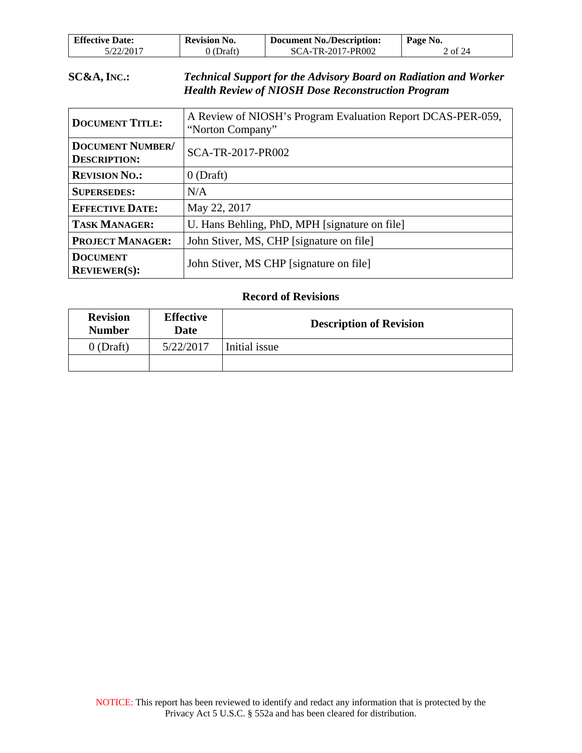| <b>Effective Date:</b> | <b>Revision No.</b> | <b>Document No./Description:</b> | Page No. |
|------------------------|---------------------|----------------------------------|----------|
| 5/22/2017              | (Draft)             | SCA-TR-2017-PR002                | 2 of 24  |

### **SC&A, INC.:** *Technical Support for the Advisory Board on Radiation and Worker Health Review of NIOSH Dose Reconstruction Program*

| <b>DOCUMENT TITLE:</b>                         | A Review of NIOSH's Program Evaluation Report DCAS-PER-059,<br>"Norton Company" |  |
|------------------------------------------------|---------------------------------------------------------------------------------|--|
| <b>DOCUMENT NUMBER/</b><br><b>DESCRIPTION:</b> | SCA-TR-2017-PR002                                                               |  |
| <b>REVISION NO.:</b>                           | $0$ (Draft)                                                                     |  |
| <b>SUPERSEDES:</b>                             | N/A                                                                             |  |
| <b>EFFECTIVE DATE:</b>                         | May 22, 2017                                                                    |  |
| <b>TASK MANAGER:</b>                           | U. Hans Behling, PhD, MPH [signature on file]                                   |  |
| <b>PROJECT MANAGER:</b>                        | John Stiver, MS, CHP [signature on file]                                        |  |
| <b>DOCUMENT</b><br><b>REVIEWER(S):</b>         | John Stiver, MS CHP [signature on file]                                         |  |

#### **Record of Revisions**

| <b>Revision</b><br><b>Number</b> | <b>Effective</b><br><b>Date</b> | <b>Description of Revision</b> |  |
|----------------------------------|---------------------------------|--------------------------------|--|
| $0$ (Draft)                      | 5/22/2017                       | Initial issue                  |  |
|                                  |                                 |                                |  |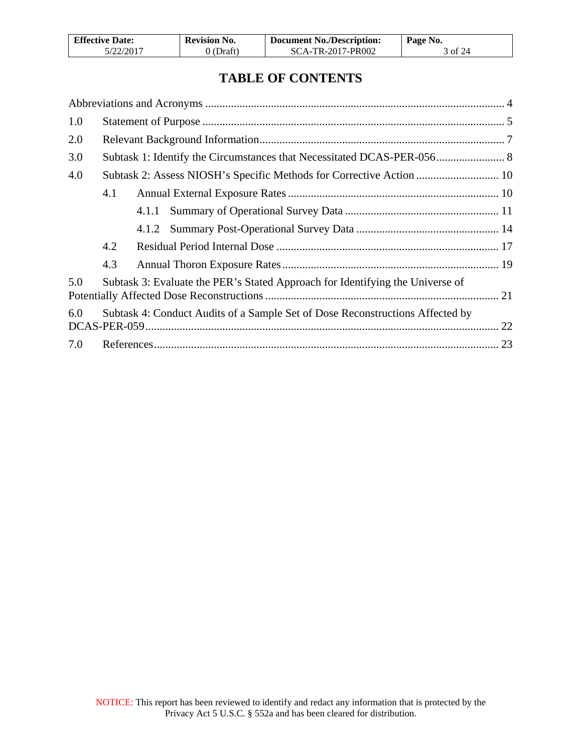| <b>Effective Date:</b> | <b>Revision No.</b> | <b>Document No./Description:</b> | Page No. |
|------------------------|---------------------|----------------------------------|----------|
| 5/22/2017              | 0 (Draft)           | SCA-TR-2017-PR002                | 3 of 24  |

# **TABLE OF CONTENTS**

| 1.0 |     |                                                                               |  |
|-----|-----|-------------------------------------------------------------------------------|--|
| 2.0 |     |                                                                               |  |
| 3.0 |     | Subtask 1: Identify the Circumstances that Necessitated DCAS-PER-056 8        |  |
| 4.0 |     | Subtask 2: Assess NIOSH's Specific Methods for Corrective Action  10          |  |
|     | 4.1 |                                                                               |  |
|     |     |                                                                               |  |
|     |     |                                                                               |  |
|     | 4.2 |                                                                               |  |
|     | 4.3 |                                                                               |  |
| 5.0 |     | Subtask 3: Evaluate the PER's Stated Approach for Identifying the Universe of |  |
| 6.0 |     | Subtask 4: Conduct Audits of a Sample Set of Dose Reconstructions Affected by |  |
| 7.0 |     |                                                                               |  |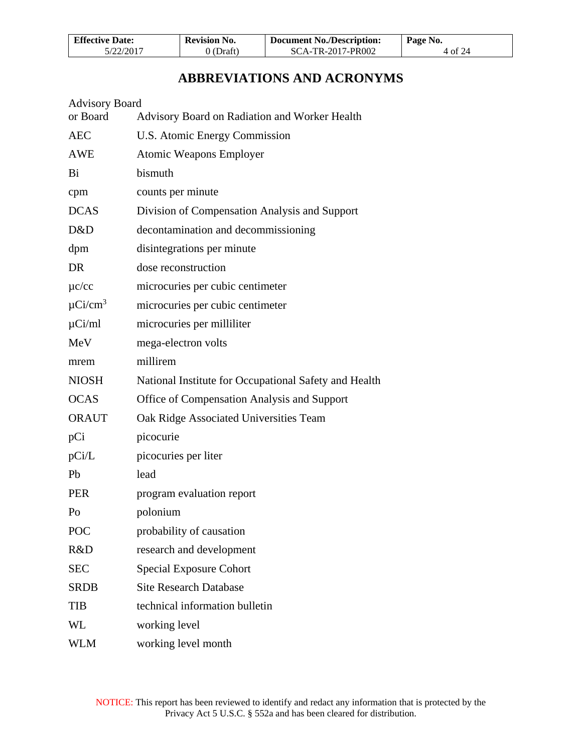| <b>Effective Date:</b> | <b>Revision No.</b> | <b>Document No./Description:</b> | Page No. |
|------------------------|---------------------|----------------------------------|----------|
| 5/22/2017              | 0 (Draft)           | SCA-TR-2017-PR002                | 4 of 24  |

# **ABBREVIATIONS AND ACRONYMS**

<span id="page-3-0"></span>

| <b>Advisory Board</b>                                 |
|-------------------------------------------------------|
| Advisory Board on Radiation and Worker Health         |
| U.S. Atomic Energy Commission                         |
| <b>Atomic Weapons Employer</b>                        |
| bismuth                                               |
| counts per minute                                     |
| Division of Compensation Analysis and Support         |
| decontamination and decommissioning                   |
| disintegrations per minute                            |
| dose reconstruction                                   |
| microcuries per cubic centimeter                      |
| microcuries per cubic centimeter                      |
| microcuries per milliliter                            |
| mega-electron volts                                   |
| millirem                                              |
| National Institute for Occupational Safety and Health |
| Office of Compensation Analysis and Support           |
| Oak Ridge Associated Universities Team                |
| picocurie                                             |
| picocuries per liter                                  |
| lead                                                  |
| program evaluation report                             |
| polonium                                              |
| probability of causation                              |
| research and development                              |
| <b>Special Exposure Cohort</b>                        |
| <b>Site Research Database</b>                         |
| technical information bulletin                        |
| working level                                         |
| working level month                                   |
|                                                       |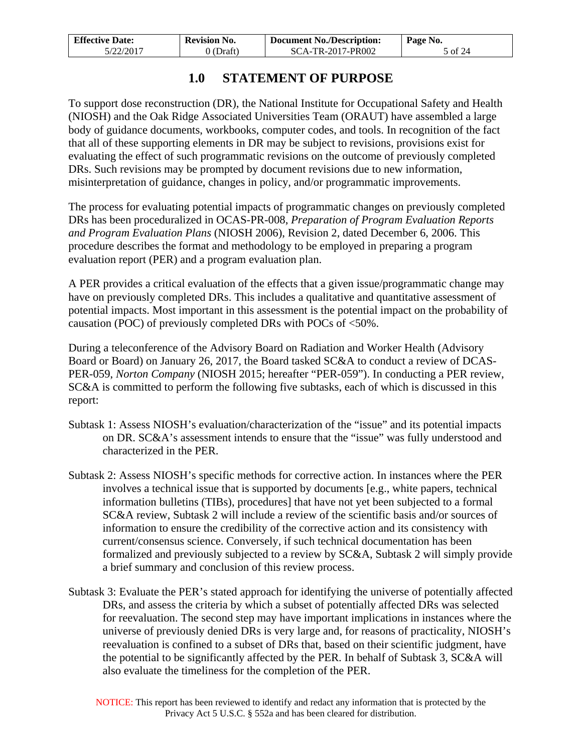| <b>Effective Date:</b> | <b>Revision No.</b> | <b>Document No./Description:</b> | Page No. |
|------------------------|---------------------|----------------------------------|----------|
| 5/22/2017              | (Draft)             | SCA-TR-2017-PR002                | 5 of 24  |

## **1.0 STATEMENT OF PURPOSE**

<span id="page-4-0"></span>To support dose reconstruction (DR), the National Institute for Occupational Safety and Health (NIOSH) and the Oak Ridge Associated Universities Team (ORAUT) have assembled a large body of guidance documents, workbooks, computer codes, and tools. In recognition of the fact that all of these supporting elements in DR may be subject to revisions, provisions exist for evaluating the effect of such programmatic revisions on the outcome of previously completed DRs. Such revisions may be prompted by document revisions due to new information, misinterpretation of guidance, changes in policy, and/or programmatic improvements.

The process for evaluating potential impacts of programmatic changes on previously completed DRs has been proceduralized in OCAS-PR-008, *Preparation of Program Evaluation Reports and Program Evaluation Plans* (NIOSH 2006), Revision 2, dated December 6, 2006. This procedure describes the format and methodology to be employed in preparing a program evaluation report (PER) and a program evaluation plan.

A PER provides a critical evaluation of the effects that a given issue/programmatic change may have on previously completed DRs. This includes a qualitative and quantitative assessment of potential impacts. Most important in this assessment is the potential impact on the probability of causation (POC) of previously completed DRs with POCs of <50%.

During a teleconference of the Advisory Board on Radiation and Worker Health (Advisory Board or Board) on January 26, 2017, the Board tasked SC&A to conduct a review of DCAS-PER-059, *Norton Company* (NIOSH 2015; hereafter "PER-059"). In conducting a PER review, SC&A is committed to perform the following five subtasks, each of which is discussed in this report:

- Subtask 1: Assess NIOSH's evaluation/characterization of the "issue" and its potential impacts on DR. SC&A's assessment intends to ensure that the "issue" was fully understood and characterized in the PER.
- Subtask 2: Assess NIOSH's specific methods for corrective action. In instances where the PER involves a technical issue that is supported by documents [e.g., white papers, technical information bulletins (TIBs), procedures] that have not yet been subjected to a formal SC&A review, Subtask 2 will include a review of the scientific basis and/or sources of information to ensure the credibility of the corrective action and its consistency with current/consensus science. Conversely, if such technical documentation has been formalized and previously subjected to a review by SC&A, Subtask 2 will simply provide a brief summary and conclusion of this review process.
- Subtask 3: Evaluate the PER's stated approach for identifying the universe of potentially affected DRs, and assess the criteria by which a subset of potentially affected DRs was selected for reevaluation. The second step may have important implications in instances where the universe of previously denied DRs is very large and, for reasons of practicality, NIOSH's reevaluation is confined to a subset of DRs that, based on their scientific judgment, have the potential to be significantly affected by the PER. In behalf of Subtask 3, SC&A will also evaluate the timeliness for the completion of the PER.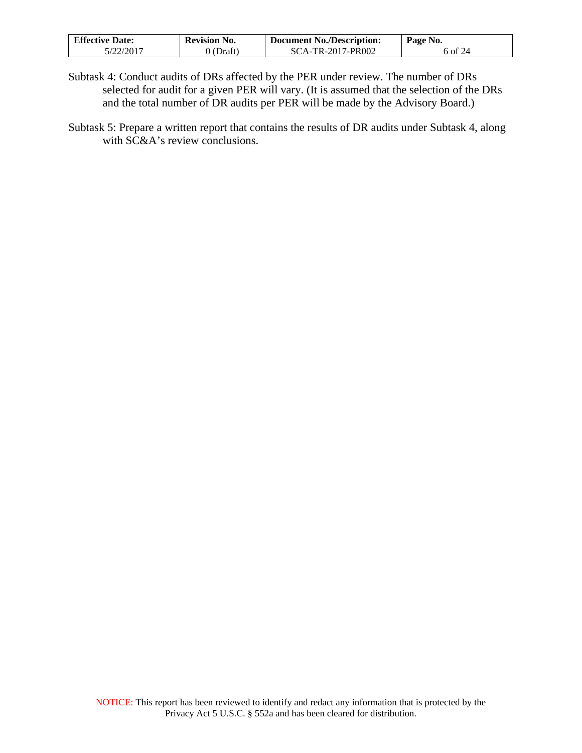| <b>Effective Date:</b> | <b>Revision No.</b> | <b>Document No./Description:</b> | Page No. |
|------------------------|---------------------|----------------------------------|----------|
| 5/22/2017              | $0$ (Draft)         | SCA-TR-2017-PR002                | 6 of 24  |

- Subtask 4: Conduct audits of DRs affected by the PER under review. The number of DRs selected for audit for a given PER will vary. (It is assumed that the selection of the DRs and the total number of DR audits per PER will be made by the Advisory Board.)
- Subtask 5: Prepare a written report that contains the results of DR audits under Subtask 4, along with SC&A's review conclusions.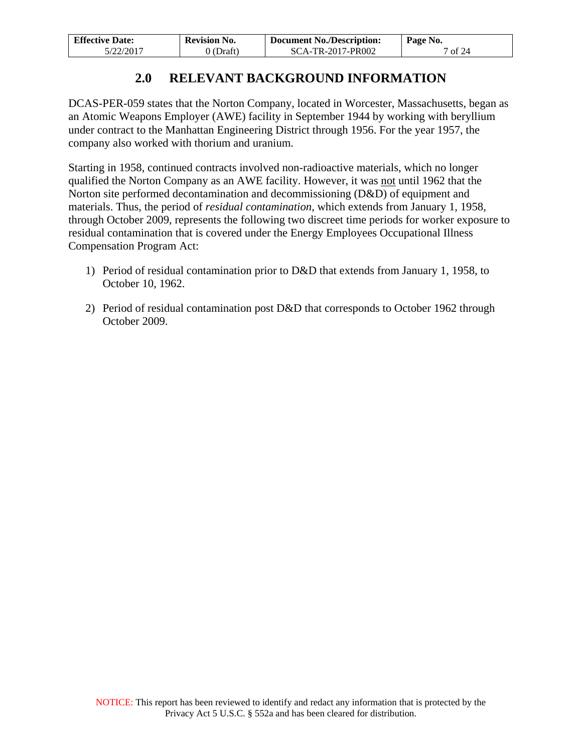| <b>Effective Date:</b> | <b>Revision No.</b> | <b>Document No./Description:</b> | Page No. |
|------------------------|---------------------|----------------------------------|----------|
| 5/22/2017              | (Draft)             | SCA-TR-2017-PR002                | of $24$  |

## **2.0 RELEVANT BACKGROUND INFORMATION**

<span id="page-6-0"></span>DCAS-PER-059 states that the Norton Company, located in Worcester, Massachusetts, began as an Atomic Weapons Employer (AWE) facility in September 1944 by working with beryllium under contract to the Manhattan Engineering District through 1956. For the year 1957, the company also worked with thorium and uranium.

Starting in 1958, continued contracts involved non-radioactive materials, which no longer qualified the Norton Company as an AWE facility. However, it was not until 1962 that the Norton site performed decontamination and decommissioning (D&D) of equipment and materials. Thus, the period of *residual contamination*, which extends from January 1, 1958, through October 2009, represents the following two discreet time periods for worker exposure to residual contamination that is covered under the Energy Employees Occupational Illness Compensation Program Act:

- 1) Period of residual contamination prior to D&D that extends from January 1, 1958, to October 10, 1962.
- 2) Period of residual contamination post D&D that corresponds to October 1962 through October 2009.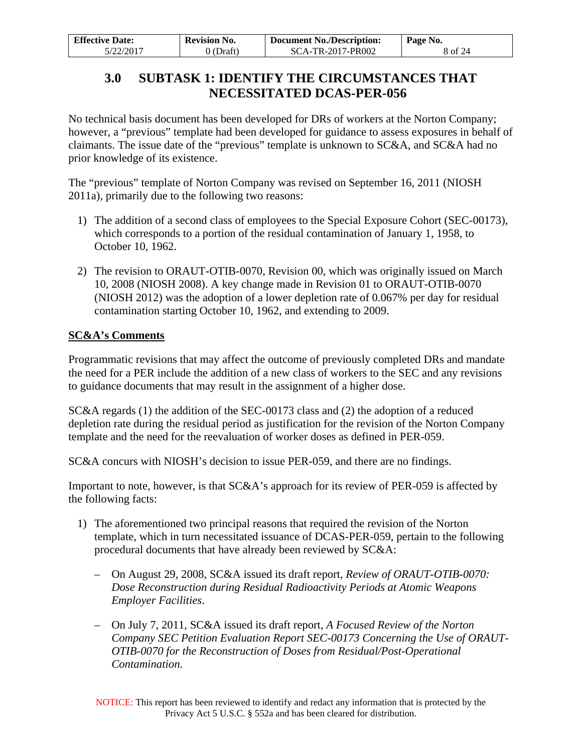<span id="page-7-0"></span>

| <b>Effective Date:</b> | <b>Revision No.</b> | <b>Document No./Description:</b> | Page No. |
|------------------------|---------------------|----------------------------------|----------|
| 5/22/2017              | 0 (Draft)           | SCA-TR-2017-PR002                | 8 of 24  |

## **3.0 SUBTASK 1: IDENTIFY THE CIRCUMSTANCES THAT NECESSITATED DCAS-PER-056**

No technical basis document has been developed for DRs of workers at the Norton Company; however, a "previous" template had been developed for guidance to assess exposures in behalf of claimants. The issue date of the "previous" template is unknown to SC&A, and SC&A had no prior knowledge of its existence.

The "previous" template of Norton Company was revised on September 16, 2011 (NIOSH 2011a), primarily due to the following two reasons:

- 1) The addition of a second class of employees to the Special Exposure Cohort (SEC-00173), which corresponds to a portion of the residual contamination of January 1, 1958, to October 10, 1962.
- 2) The revision to ORAUT-OTIB-0070, Revision 00, which was originally issued on March 10, 2008 (NIOSH 2008). A key change made in Revision 01 to ORAUT-OTIB-0070 (NIOSH 2012) was the adoption of a lower depletion rate of 0.067% per day for residual contamination starting October 10, 1962, and extending to 2009.

### **SC&A's Comments**

Programmatic revisions that may affect the outcome of previously completed DRs and mandate the need for a PER include the addition of a new class of workers to the SEC and any revisions to guidance documents that may result in the assignment of a higher dose.

SC&A regards (1) the addition of the SEC-00173 class and (2) the adoption of a reduced depletion rate during the residual period as justification for the revision of the Norton Company template and the need for the reevaluation of worker doses as defined in PER-059.

SC&A concurs with NIOSH's decision to issue PER-059, and there are no findings.

Important to note, however, is that SC&A's approach for its review of PER-059 is affected by the following facts:

- 1) The aforementioned two principal reasons that required the revision of the Norton template, which in turn necessitated issuance of DCAS-PER-059, pertain to the following procedural documents that have already been reviewed by SC&A:
	- On August 29, 2008, SC&A issued its draft report, *Review of ORAUT-OTIB-0070: Dose Reconstruction during Residual Radioactivity Periods at Atomic Weapons Employer Facilities*.
	- On July 7, 2011, SC&A issued its draft report, *A Focused Review of the Norton Company SEC Petition Evaluation Report SEC-00173 Concerning the Use of ORAUT-OTIB-0070 for the Reconstruction of Doses from Residual/Post-Operational Contamination*.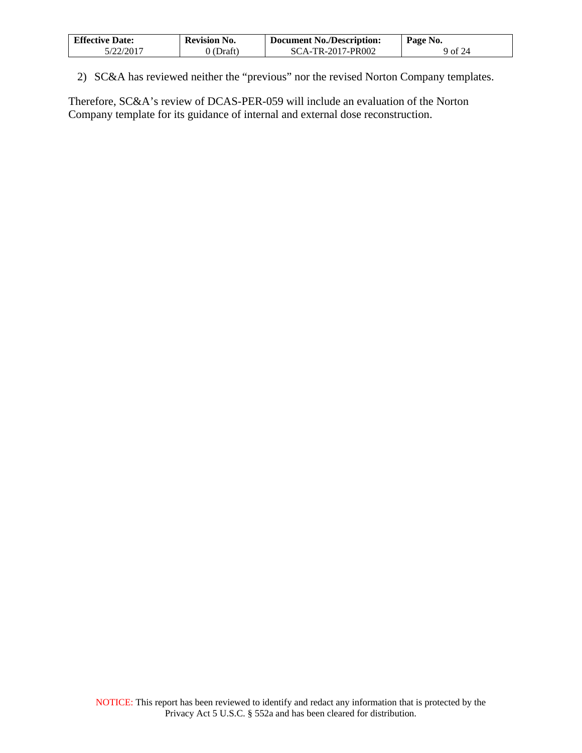| <b>Effective Date:</b> | <b>Revision No.</b> | <b>Document No./Description:</b> | Page No. |
|------------------------|---------------------|----------------------------------|----------|
| 5/22/2017              | 0 (Draft)           | SCA-TR-2017-PR002                | 9 of 24  |

2) SC&A has reviewed neither the "previous" nor the revised Norton Company templates.

Therefore, SC&A's review of DCAS-PER-059 will include an evaluation of the Norton Company template for its guidance of internal and external dose reconstruction.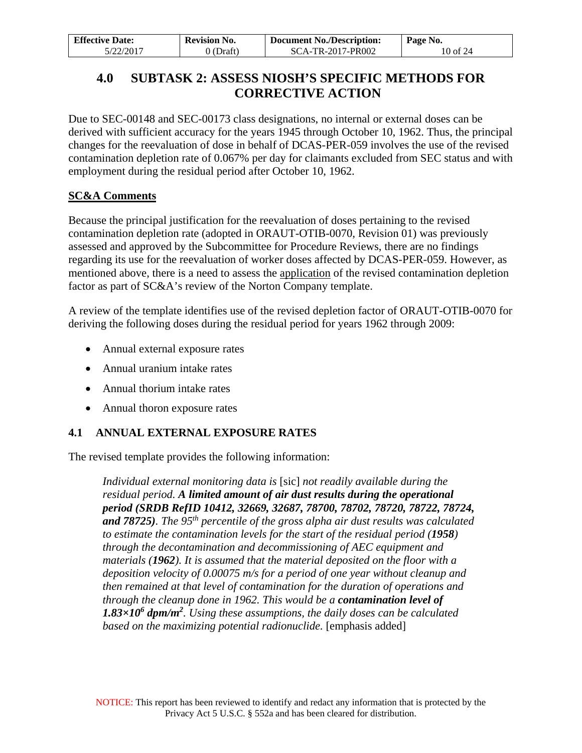| <b>Effective Date:</b> | <b>Revision No.</b> | Page No.          |          |
|------------------------|---------------------|-------------------|----------|
| 5/22/2017              | 0 (Draft)           | SCA-TR-2017-PR002 | 10 of 24 |

## <span id="page-9-0"></span>**4.0 SUBTASK 2: ASSESS NIOSH'S SPECIFIC METHODS FOR CORRECTIVE ACTION**

Due to SEC-00148 and SEC-00173 class designations, no internal or external doses can be derived with sufficient accuracy for the years 1945 through October 10, 1962. Thus, the principal changes for the reevaluation of dose in behalf of DCAS-PER-059 involves the use of the revised contamination depletion rate of 0.067% per day for claimants excluded from SEC status and with employment during the residual period after October 10, 1962.

## **SC&A Comments**

Because the principal justification for the reevaluation of doses pertaining to the revised contamination depletion rate (adopted in ORAUT-OTIB-0070, Revision 01) was previously assessed and approved by the Subcommittee for Procedure Reviews, there are no findings regarding its use for the reevaluation of worker doses affected by DCAS-PER-059. However, as mentioned above, there is a need to assess the application of the revised contamination depletion factor as part of SC&A's review of the Norton Company template.

A review of the template identifies use of the revised depletion factor of ORAUT-OTIB-0070 for deriving the following doses during the residual period for years 1962 through 2009:

- Annual external exposure rates
- Annual uranium intake rates
- Annual thorium intake rates
- Annual thoron exposure rates

## <span id="page-9-1"></span>**4.1 ANNUAL EXTERNAL EXPOSURE RATES**

The revised template provides the following information:

*Individual external monitoring data is* [sic] *not readily available during the residual period. A limited amount of air dust results during the operational period (SRDB RefID 10412, 32669, 32687, 78700, 78702, 78720, 78722, 78724, and 78725). The 95th percentile of the gross alpha air dust results was calculated to estimate the contamination levels for the start of the residual period (1958) through the decontamination and decommissioning of AEC equipment and materials (1962). It is assumed that the material deposited on the floor with a deposition velocity of 0.00075 m/s for a period of one year without cleanup and then remained at that level of contamination for the duration of operations and through the cleanup done in 1962. This would be a contamination level of 1.83×106 dpm/m2 . Using these assumptions, the daily doses can be calculated based on the maximizing potential radionuclide.* [emphasis added]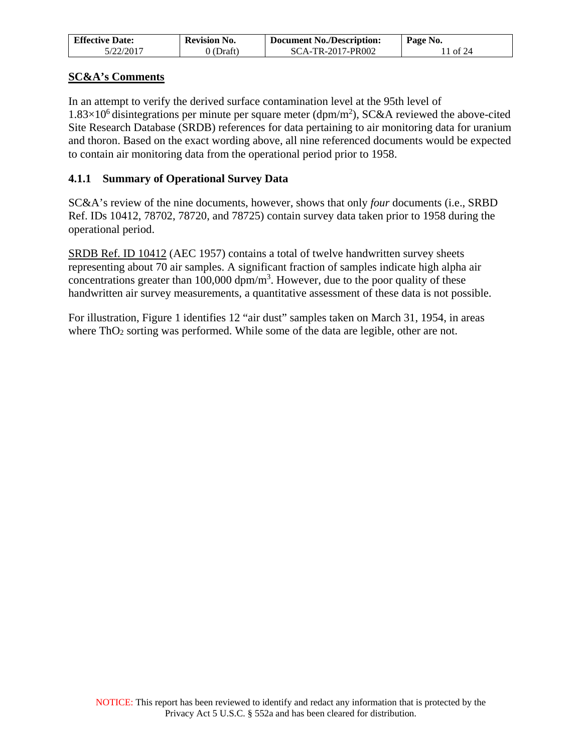| <b>Effective Date:</b> | <b>Revision No.</b> | <b>Document No./Description:</b> | Page No. |  |  |
|------------------------|---------------------|----------------------------------|----------|--|--|
| 5/22/2017              | 0 (Draft)           | SCA-TR-2017-PR002                | 1 of 24  |  |  |

## **SC&A's Comments**

In an attempt to verify the derived surface contamination level at the 95th level of  $1.83\times10^6$  disintegrations per minute per square meter (dpm/m<sup>2</sup>), SC&A reviewed the above-cited Site Research Database (SRDB) references for data pertaining to air monitoring data for uranium and thoron. Based on the exact wording above, all nine referenced documents would be expected to contain air monitoring data from the operational period prior to 1958.

### <span id="page-10-0"></span>**4.1.1 Summary of Operational Survey Data**

SC&A's review of the nine documents, however, shows that only *four* documents (i.e., SRBD Ref. IDs 10412, 78702, 78720, and 78725) contain survey data taken prior to 1958 during the operational period.

SRDB Ref. ID 10412 (AEC 1957) contains a total of twelve handwritten survey sheets representing about 70 air samples. A significant fraction of samples indicate high alpha air concentrations greater than 100,000  $\text{dpm/m}^3$ . However, due to the poor quality of these handwritten air survey measurements, a quantitative assessment of these data is not possible.

For illustration, Figure 1 identifies 12 "air dust" samples taken on March 31, 1954, in areas where ThO<sub>2</sub> sorting was performed. While some of the data are legible, other are not.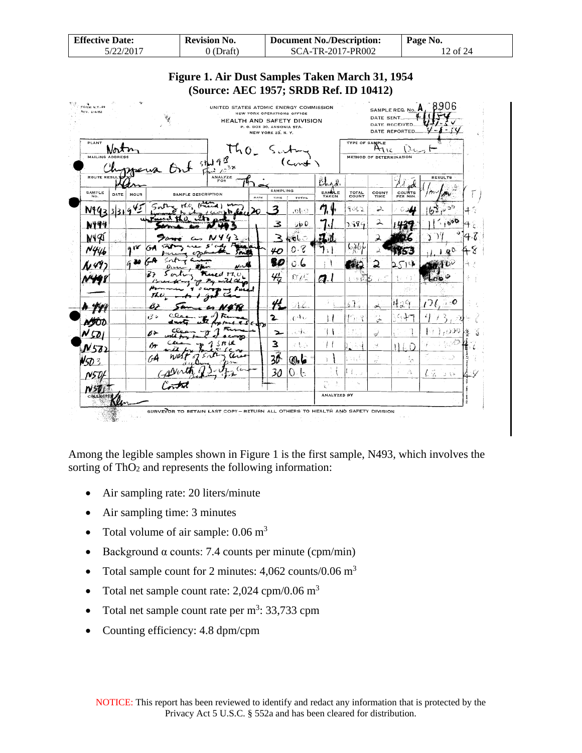| <b>Effective Date:</b> | <b>Revision No.</b> | <b>Document No./Description:</b> | Page No. |
|------------------------|---------------------|----------------------------------|----------|
| 5/22/2017              | 0 (Draft)           | SCA-TR-2017-PR002                | 12 of 24 |



| <b>TONE N.Y. 99</b><br>REV. 2/4/62 |      |      | ¥                         | UNITED STATES ATOMIC ENERGY COMMISSION | NEW YORK OPERATIONS OFFICE<br>P. O. BOX 30, ANSONIA STA. | NEW YORK 23. N. Y.                | HEALTH AND SAFETY DIVISION |                          |                               | DATE SENT.                     | SAMPLE REQ. No. <b>H</b><br>DATE RECEIVED.<br>DATE REPORTED. |                |
|------------------------------------|------|------|---------------------------|----------------------------------------|----------------------------------------------------------|-----------------------------------|----------------------------|--------------------------|-------------------------------|--------------------------------|--------------------------------------------------------------|----------------|
| PLANT<br><b>MAILING ADDRESS</b>    | Nov  |      | Out thing                 | $740^\circ$<br>38                      |                                                          |                                   | Cont                       |                          | <b>TYPE OF SAMPLE</b>         | AIR<br>METHOD OF DETERMINATION |                                                              |                |
| <b>ROUTE RESUL</b><br>SAMPLE       | DATE | HOUR | <b>SAMPLE DESCRIPTION</b> | <b>ANALYZE</b>                         | RATE                                                     | <b>SAMPLING</b><br>TIME           | <b>TOTAL</b>               | Bhad.<br>SAMPLE<br>TAKEN | TOTAL<br>COUNT                | COUNT<br>TIME                  | <b>COUNTS</b><br>PER MIN.                                    | <b>RESULTS</b> |
| N46                                |      |      |                           | سيموس<br>Ifred )<br>$h$ also<br>لانضب  |                                                          | 3                                 | e fo.                      |                          | 9062                          | 2.                             |                                                              | 29<br>Ð        |
| 小甲乡                                |      |      |                           |                                        |                                                          | 3                                 | ಾರಿ<br>GB.                 |                          | 2594                          | 2                              |                                                              | 600,           |
| N49I                               |      | 918  | $\sim$                    |                                        |                                                          | 3                                 | ت نان<br>0.8               |                          | مأوراه                        | ス                              |                                                              |                |
| N444                               |      | 630  | $\overline{\mathbf{u}}$   | وسمد                                   |                                                          | 40<br>80                          | 0.6                        | FY.                      | л.                            | sk.<br>2                       | ่ ⊇∑า เ≱                                                     | $10^{0}$       |
|                                    |      |      |                           | <b>Exact TT.U.</b><br>mU X<br>Pa.      |                                                          | $\frac{\mathcal{U}}{\mathcal{U}}$ | $\alpha_{\ell}$            | a.                       | まきを読                          |                                | −i t                                                         | <b>COM</b>     |
|                                    |      |      |                           |                                        |                                                          | 41                                | ДΖ                         |                          | 67                            |                                | 82<br>मृङ्ग                                                  | 76<br>$\sim$ 0 |
|                                    |      |      | B)<br>ばき                  | . 60<br>c                              |                                                          | 2                                 | $e^{4i}$                   | Ì.                       | 朽淫                            | یکن<br>yr k<br>پې              | ملبابنا                                                      |                |
| 50                                 |      |      | b>                        | ∾⊅                                     | $4.56$ dry                                               | ∼                                 | 示承                         |                          | $\mathcal{F}$ , $\mathcal{F}$ | s                              |                                                              |                |
| $N$ 57)                            |      |      | ßŦ                        | 13 L.R<br>3                            |                                                          | 3                                 | えもさ                        | ţ.                       |                               | ׿,                             | 11 L D                                                       |                |
| 503                                |      |      | GА                        |                                        |                                                          | $\overline{30}$                   | عاه                        | t.                       | i≒ti                          | łź.                            | ţ,                                                           |                |
| N5DI                               |      |      |                           |                                        |                                                          | 30                                | b<br>O.                    | er is.                   | Γł<br>المحادث                 | . v                            | A.                                                           | にる コロ          |
| COCL                               |      |      |                           |                                        |                                                          |                                   |                            | k.<br>ANALYZED BY        |                               |                                |                                                              |                |

Among the legible samples shown in Figure 1 is the first sample, N493, which involves the sorting of ThO<sub>2</sub> and represents the following information:

- Air sampling rate: 20 liters/minute
- Air sampling time: 3 minutes
- Total volume of air sample:  $0.06 \text{ m}^3$
- Background  $\alpha$  counts: 7.4 counts per minute (cpm/min)
- Total sample count for 2 minutes:  $4,062$  counts/ $0.06$  m<sup>3</sup>
- Total net sample count rate:  $2,024$  cpm/0.06 m<sup>3</sup>
- Total net sample count rate per  $m^3$ : 33,733 cpm
- Counting efficiency: 4.8 dpm/cpm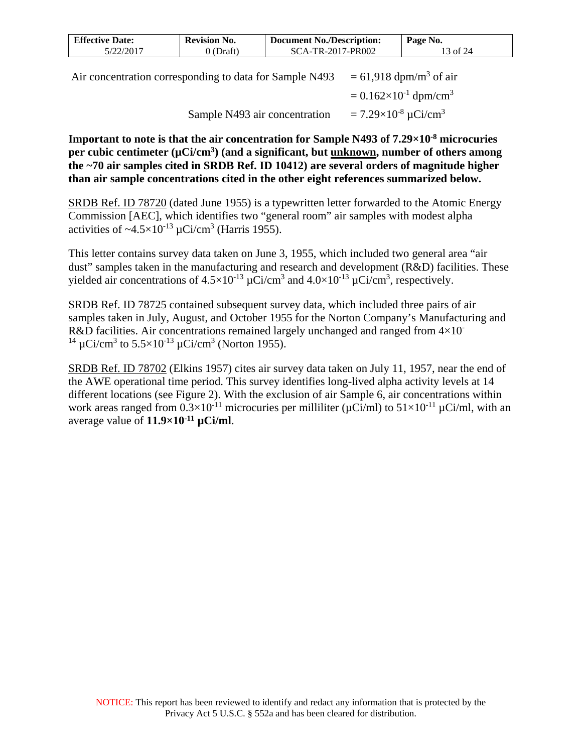| <b>Effective Date:</b> | <b>Revision No.</b> | <b>Document No./Description:</b><br>Page No. |                    |
|------------------------|---------------------|----------------------------------------------|--------------------|
| 5/22/2017              | ) (Draft)           | SCA-TR-2017-PR002                            | $3 \text{ of } 24$ |
|                        |                     |                                              |                    |

Air concentration corresponding to data for Sample N493  $= 61,918$  dpm/m<sup>3</sup> of air  $= 0.162 \times 10^{-1}$  dpm/cm<sup>3</sup> Sample N493 air concentration  $= 7.29 \times 10^{-8} \mu \text{Ci/cm}^3$ 

**Important to note is that the air concentration for Sample N493 of 7.29×10-8 microcuries**  per cubic centimeter (µCi/cm<sup>3</sup>) (and a significant, but <u>unknown</u>, number of others among **the ~70 air samples cited in SRDB Ref. ID 10412) are several orders of magnitude higher than air sample concentrations cited in the other eight references summarized below.**

SRDB Ref. ID 78720 (dated June 1955) is a typewritten letter forwarded to the Atomic Energy Commission [AEC], which identifies two "general room" air samples with modest alpha activities of  $\sim$ 4.5 $\times$ 10<sup>-13</sup> µCi/cm<sup>3</sup> (Harris 1955).

This letter contains survey data taken on June 3, 1955, which included two general area "air dust" samples taken in the manufacturing and research and development (R&D) facilities. These yielded air concentrations of  $4.5 \times 10^{-13} \mu$ Ci/cm<sup>3</sup> and  $4.0 \times 10^{-13} \mu$ Ci/cm<sup>3</sup>, respectively.

SRDB Ref. ID 78725 contained subsequent survey data, which included three pairs of air samples taken in July, August, and October 1955 for the Norton Company's Manufacturing and R&D facilities. Air concentrations remained largely unchanged and ranged from  $4\times10^{-7}$ <sup>14</sup> µCi/cm<sup>3</sup> to 5.5×10<sup>-13</sup> µCi/cm<sup>3</sup> (Norton 1955).

SRDB Ref. ID 78702 (Elkins 1957) cites air survey data taken on July 11, 1957, near the end of the AWE operational time period. This survey identifies long-lived alpha activity levels at 14 different locations (see Figure 2). With the exclusion of air Sample 6, air concentrations within work areas ranged from  $0.3 \times 10^{-11}$  microcuries per milliliter ( $\mu$ Ci/ml) to  $51 \times 10^{-11}$   $\mu$ Ci/ml, with an average value of **11.9×10-11 µCi/ml**.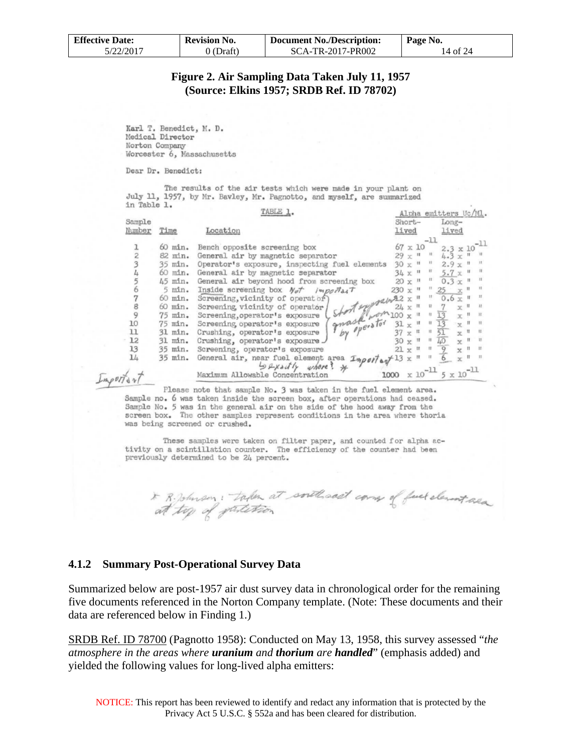| <b>Effective Date:</b> | <b>Revision No.</b> | Document No./Description: | Page No. |  |  |
|------------------------|---------------------|---------------------------|----------|--|--|
| 5/22/2017              | 0 (Draft)           | SCA-TR-2017-PR002         | 14 of 24 |  |  |

#### **Figure 2. Air Sampling Data Taken July 11, 1957 (Source: Elkins 1957; SRDB Ref. ID 78702)**

Karl T. Benedict, M. D. Medical Director Norton Company Worcester 6, Massachusetts

Dear Dr. Benedict:

The results of the air tests which were made in your plant on July 11, 1957, by Mr. Bavley, Mr. Pagnotto, and myself, are summarized in Table 1.

|               |             | TABLE 1.                                                                                                                                                                                                                                                                                                                                                                                                                              |                |                   |                           | Alpha emitters Uc/Ml.                                                         |                           |                                 |              |
|---------------|-------------|---------------------------------------------------------------------------------------------------------------------------------------------------------------------------------------------------------------------------------------------------------------------------------------------------------------------------------------------------------------------------------------------------------------------------------------|----------------|-------------------|---------------------------|-------------------------------------------------------------------------------|---------------------------|---------------------------------|--------------|
| Sample        |             |                                                                                                                                                                                                                                                                                                                                                                                                                                       | Short-         |                   |                           | $Long-$                                                                       |                           |                                 |              |
| Number        | Time        | Location                                                                                                                                                                                                                                                                                                                                                                                                                              | lived          |                   |                           | lived                                                                         |                           |                                 |              |
|               |             |                                                                                                                                                                                                                                                                                                                                                                                                                                       |                |                   | $-11$                     |                                                                               |                           |                                 |              |
|               | 60 min.     | Bench opposite screening box                                                                                                                                                                                                                                                                                                                                                                                                          |                | $67 \times 10$    |                           | $2.3 \times 10^{-11}$                                                         |                           |                                 |              |
| $\frac{1}{2}$ | 82 min.     | General air by magnetic separator                                                                                                                                                                                                                                                                                                                                                                                                     |                | $29 \times 11$ 11 |                           | $4.3 \times 11$                                                               |                           |                                 |              |
|               | 35 min.     | Operator's exposure, inspecting fuel elements                                                                                                                                                                                                                                                                                                                                                                                         |                |                   |                           | $30 \times$ $\frac{11}{11}$ $\frac{11}{2.9}$ $\frac{11}{2.9}$ $\frac{11}{11}$ |                           |                                 |              |
|               | 60 min.     | General air by magnetic separator                                                                                                                                                                                                                                                                                                                                                                                                     |                |                   |                           | $34 \times$ " $5.7 \times$ "                                                  |                           |                                 |              |
| $rac{4}{5}$   | $45$ min.   | General air beyond hood from screening box                                                                                                                                                                                                                                                                                                                                                                                            |                |                   |                           | $20 x$ <sup>11</sup> $0.3 x$ <sup>11</sup>                                    |                           |                                 |              |
|               | $5$ $min.$  | Inside screening box $N_{\sigma}$ important                                                                                                                                                                                                                                                                                                                                                                                           | $230 \times$ " |                   |                           | $25 -$                                                                        |                           |                                 | 11           |
|               | $60$ $min.$ | Screening, vicinity of operator)<br>" Short expressed in                                                                                                                                                                                                                                                                                                                                                                              |                |                   |                           | $0.6 \times$ $\sqrt{ }$                                                       |                           |                                 |              |
| $\frac{7}{9}$ | 60 min.     | Screening vicinity of operator /<br>$\left(\frac{1}{7}\right)$ and $\left(\frac{1}{7}\right)$ and $\left(\frac{1}{7}\right)$ and $\left(\frac{1}{7}\right)$ and $\left(\frac{1}{7}\right)$ and $\left(\frac{1}{7}\right)$ and $\left(\frac{1}{7}\right)$ and $\left(\frac{1}{7}\right)$ and $\left(\frac{1}{7}\right)$ and $\left(\frac{1}{7}\right)$ and $\left(\frac{1}{7}\right)$ and $\left(\frac{1}{7}\right)$ and $\left(\frac$ |                |                   |                           | 7                                                                             | x <sub>u</sub>            |                                 | $12 -$       |
|               | $75$ min.   | Screening, operator's exposure                                                                                                                                                                                                                                                                                                                                                                                                        |                |                   |                           | $\overline{13}$                                                               | $\mathbf{x}$ "            |                                 | 31           |
| 10            | $75$ min.   | Screening operator's exposure                                                                                                                                                                                                                                                                                                                                                                                                         | $31 \times$ "  |                   |                           | 13                                                                            | $\mathbf{x}$ $\mathbf{r}$ |                                 | 11           |
| 11            | 31 min.     | Crushing, operator's exposure                                                                                                                                                                                                                                                                                                                                                                                                         |                |                   | $\parallel$ H $\parallel$ | $\overline{51}$                                                               | $\propto$ $\frac{11}{2}$  |                                 | $\mathbf{u}$ |
| 12            | 31 min.     | Crushing, operator's exposure J                                                                                                                                                                                                                                                                                                                                                                                                       | $30 \times 11$ |                   | $\blacksquare$            | $\overline{40}$                                                               |                           | $x$ = $x$                       |              |
| 13            | 35 min.     | Screening, operator's exposure                                                                                                                                                                                                                                                                                                                                                                                                        | $21 \times$ "  |                   | $\mathbb{H}$              | $\overline{9}$                                                                |                           | $x0$ at                         |              |
| 14            | 35 min.     | General air, near fuel element area Import of 13 x "<br>$5$ $4$ <i>x</i> act $4$ where? *                                                                                                                                                                                                                                                                                                                                             |                |                   | $-11$                     |                                                                               |                           | $x$ $\frac{1}{x}$ $\frac{1}{x}$ |              |
|               |             | Maximum Allowable Concentration                                                                                                                                                                                                                                                                                                                                                                                                       | 1000           | x 10              |                           | $5 \times 10^{-11}$                                                           |                           |                                 |              |

Please note that sample No. 3 was taken in the fuel element area. Sample no. 6 was taken inside the screen box, after operations had ceased. Sample No. 5 was in the general air on the side of the hood away from the screen box. The other samples represent conditions in the area where thoria was being screened or crushed.

These samples were taken on filter paper, and counted for alpha activity on a scintillation counter. The efficiency of the counter had been previously determined to be 24 percent.

\* R. Johnson: taken at south and corry of fuel element area

#### <span id="page-13-0"></span>**4.1.2 Summary Post-Operational Survey Data**

Summarized below are post-1957 air dust survey data in chronological order for the remaining five documents referenced in the Norton Company template. (Note: These documents and their data are referenced below in Finding 1.)

SRDB Ref. ID 78700 (Pagnotto 1958): Conducted on May 13, 1958, this survey assessed "*the atmosphere in the areas where uranium and thorium are handled*" (emphasis added) and yielded the following values for long-lived alpha emitters: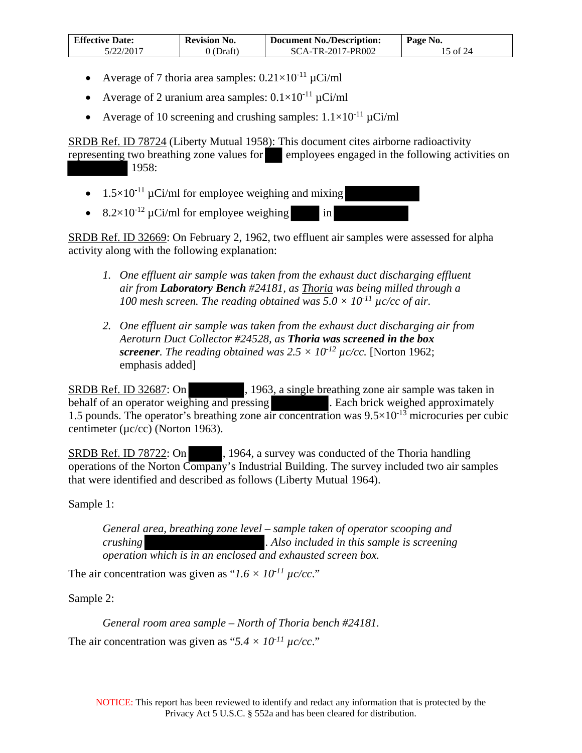| <b>Effective Date:</b> | <b>Revision No.</b> | <b>Document No./Description:</b> | Page No.                     |
|------------------------|---------------------|----------------------------------|------------------------------|
| 5/22/2017              | (Draft)             | SCA-TR-2017-PR002                | $\frac{5 \text{ of } 24}{ }$ |

- Average of 7 thoria area samples:  $0.21 \times 10^{-11} \mu$ Ci/ml
- Average of 2 uranium area samples:  $0.1 \times 10^{-11}$   $\mu$ Ci/ml
- Average of 10 screening and crushing samples:  $1.1 \times 10^{-11}$   $\mu$ Ci/ml

SRDB Ref. ID 78724 (Liberty Mutual 1958): This document cites airborne radioactivity representing two breathing zone values for employees engaged in the following activities on 1958:

- $1.5 \times 10^{-11}$  µCi/ml for employee weighing and mixing
- $8.2 \times 10^{-12} \mu$ Ci/ml for employee weighing in

SRDB Ref. ID 32669: On February 2, 1962, two effluent air samples were assessed for alpha activity along with the following explanation:

- *1.* One effluent air sample was taken from the exhaust duct discharging effluent *air from Laboratory Bench #24181, as Thoria was being milled through a 100 mesh screen. The reading obtained was*  $5.0 \times 10^{11}$   $\mu$ *c/cc of air.*
- *2. One effluent air sample was taken from the exhaust duct discharging air from Aeroturn Duct Collector #24528, as Thoria was screened in the box screener. The reading obtained was*  $2.5 \times 10^{-12}$  $\mu$ *c/cc. [Norton 1962;* emphasis added]

SRDB Ref. ID 32687: On , 1963, a single breathing zone air sample was taken in behalf of an operator weighing and pressing . Each brick weighed approximately 1.5 pounds. The operator's breathing zone air concentration was  $9.5 \times 10^{-13}$  microcuries per cubic centimeter (µc/cc) (Norton 1963).

SRDB Ref. ID 78722: On , 1964, a survey was conducted of the Thoria handling operations of the Norton Company's Industrial Building. The survey included two air samples that were identified and described as follows (Liberty Mutual 1964).

Sample 1:

*General area, breathing zone level – sample taken of operator scooping and crushing . Also included in this sample is screening operation which is in an enclosed and exhausted screen box.*

The air concentration was given as " $1.6 \times 10^{-11}$   $\mu$ c/cc."

Sample 2:

*General room area sample – North of Thoria bench #24181.* 

The air concentration was given as " $5.4 \times 10^{-11}$   $\mu$ c/cc."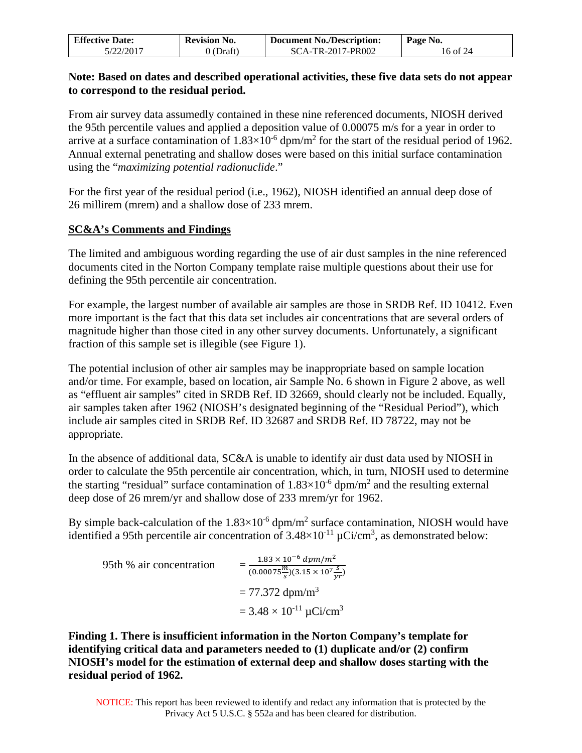| <b>Effective Date:</b> | <b>Revision No.</b> | Page No.          |          |
|------------------------|---------------------|-------------------|----------|
| 5/22/2017              | 0 (Draft)           | SCA-TR-2017-PR002 | 16 of 24 |

### **Note: Based on dates and described operational activities, these five data sets do not appear to correspond to the residual period.**

From air survey data assumedly contained in these nine referenced documents, NIOSH derived the 95th percentile values and applied a deposition value of 0.00075 m/s for a year in order to arrive at a surface contamination of  $1.83 \times 10^{-6}$  dpm/m<sup>2</sup> for the start of the residual period of 1962. Annual external penetrating and shallow doses were based on this initial surface contamination using the "*maximizing potential radionuclide*."

For the first year of the residual period (i.e., 1962), NIOSH identified an annual deep dose of 26 millirem (mrem) and a shallow dose of 233 mrem.

## **SC&A's Comments and Findings**

The limited and ambiguous wording regarding the use of air dust samples in the nine referenced documents cited in the Norton Company template raise multiple questions about their use for defining the 95th percentile air concentration.

For example, the largest number of available air samples are those in SRDB Ref. ID 10412. Even more important is the fact that this data set includes air concentrations that are several orders of magnitude higher than those cited in any other survey documents. Unfortunately, a significant fraction of this sample set is illegible (see Figure 1).

The potential inclusion of other air samples may be inappropriate based on sample location and/or time. For example, based on location, air Sample No. 6 shown in Figure 2 above, as well as "effluent air samples" cited in SRDB Ref. ID 32669, should clearly not be included. Equally, air samples taken after 1962 (NIOSH's designated beginning of the "Residual Period"), which include air samples cited in SRDB Ref. ID 32687 and SRDB Ref. ID 78722, may not be appropriate.

In the absence of additional data, SC&A is unable to identify air dust data used by NIOSH in order to calculate the 95th percentile air concentration, which, in turn, NIOSH used to determine the starting "residual" surface contamination of  $1.83 \times 10^{-6}$  dpm/m<sup>2</sup> and the resulting external deep dose of 26 mrem/yr and shallow dose of 233 mrem/yr for 1962.

By simple back-calculation of the  $1.83\times10^{-6}$  dpm/m<sup>2</sup> surface contamination, NIOSH would have identified a 95th percentile air concentration of  $3.48\times10^{-11}$  µCi/cm<sup>3</sup>, as demonstrated below:

95th % air concentration =  $1.83 \times 10^{-6}$  dpm/m<sup>2</sup>  $(0.00075 \frac{m}{s})(3.15 \times 10^7 \frac{s}{yr})$  $= 77.372$  dpm/m<sup>3</sup>  $= 3.48 \times 10^{-11} \,\mu\text{Ci/cm}^3$ 

**Finding 1. There is insufficient information in the Norton Company's template for identifying critical data and parameters needed to (1) duplicate and/or (2) confirm NIOSH's model for the estimation of external deep and shallow doses starting with the residual period of 1962.**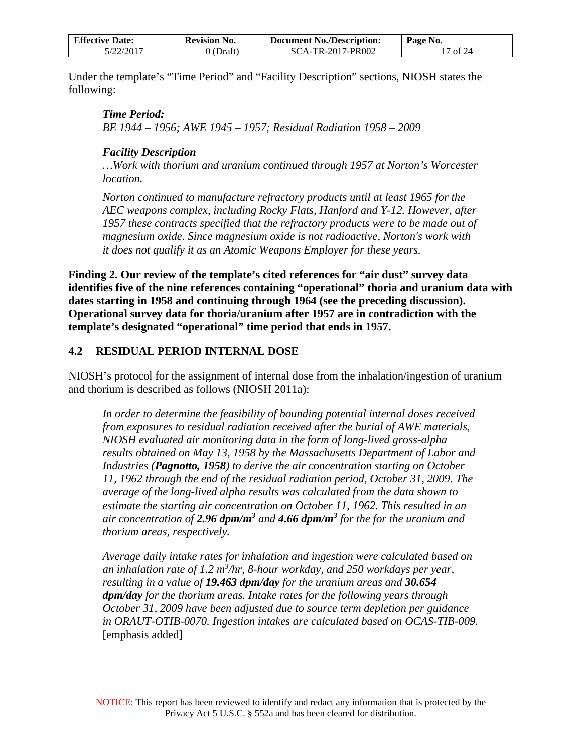| <b>Effective Date:</b> | <b>Revision No.</b> | $P$ age No.       |          |
|------------------------|---------------------|-------------------|----------|
| 5/22/2017              | 0 (Draft)           | SCA-TR-2017-PR002 | '7 of 24 |

Under the template's "Time Period" and "Facility Description" sections, NIOSH states the following:

*Time Period: BE 1944 – 1956; AWE 1945 – 1957; Residual Radiation 1958 – 2009* 

### *Facility Description*

*…Work with thorium and uranium continued through 1957 at Norton's Worcester location.* 

*Norton continued to manufacture refractory products until at least 1965 for the AEC weapons complex, including Rocky Flats, Hanford and Y-12. However, after 1957 these contracts specified that the refractory products were to be made out of magnesium oxide. Since magnesium oxide is not radioactive, Norton's work with it does not qualify it as an Atomic Weapons Employer for these years.* 

**Finding 2. Our review of the template's cited references for "air dust" survey data identifies five of the nine references containing "operational" thoria and uranium data with dates starting in 1958 and continuing through 1964 (see the preceding discussion). Operational survey data for thoria/uranium after 1957 are in contradiction with the template's designated "operational" time period that ends in 1957.**

## <span id="page-16-0"></span>**4.2 RESIDUAL PERIOD INTERNAL DOSE**

NIOSH's protocol for the assignment of internal dose from the inhalation/ingestion of uranium and thorium is described as follows (NIOSH 2011a):

*In order to determine the feasibility of bounding potential internal doses received from exposures to residual radiation received after the burial of AWE materials, NIOSH evaluated air monitoring data in the form of long-lived gross-alpha results obtained on May 13, 1958 by the Massachusetts Department of Labor and Industries (Pagnotto, 1958) to derive the air concentration starting on October 11, 1962 through the end of the residual radiation period, October 31, 2009. The average of the long-lived alpha results was calculated from the data shown to estimate the starting air concentration on October 11, 1962. This resulted in an*  air concentration of 2.96 dpm/m<sup>3</sup> and 4.66 dpm/m<sup>3</sup> for the for the uranium and *thorium areas, respectively.* 

*Average daily intake rates for inhalation and ingestion were calculated based on an inhalation rate of 1.2 m3 /hr, 8-hour workday, and 250 workdays per year, resulting in a value of 19.463 dpm/day for the uranium areas and 30.654 dpm/day for the thorium areas. Intake rates for the following years through October 31, 2009 have been adjusted due to source term depletion per guidance in ORAUT-OTIB-0070. Ingestion intakes are calculated based on OCAS-TIB-009.*  [emphasis added]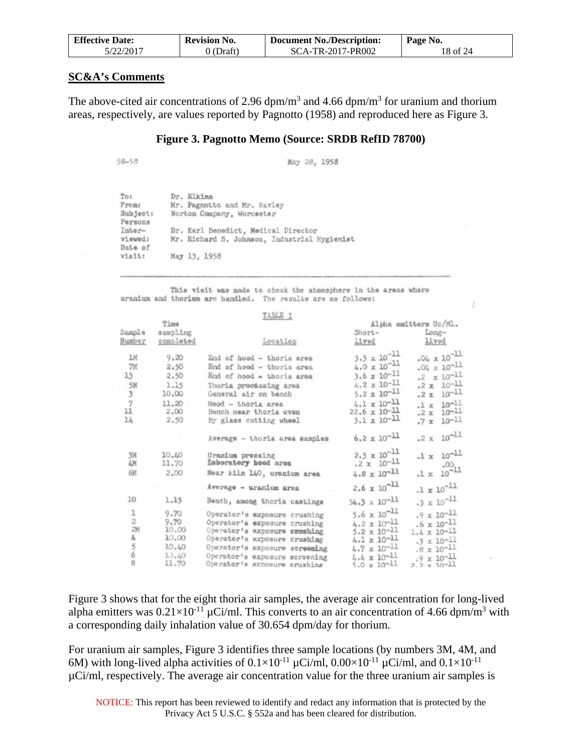| <b>Effective Date:</b> | <b>Document No./Description:</b><br><b>Revision No.</b> | Page No.          |          |
|------------------------|---------------------------------------------------------|-------------------|----------|
| 5/22/2017              | 0 (Draft)                                               | SCA-TR-2017-PR002 | 18 of 24 |

#### **SC&A's Comments**

The above-cited air concentrations of 2.96 dpm/m<sup>3</sup> and 4.66 dpm/m<sup>3</sup> for uranium and thorium areas, respectively, are values reported by Pagnotto (1958) and reproduced here as Figure 3.

#### **Figure 3. Pagnotto Memo (Source: SRDB RefID 78700)**

 $58 - 53$ 

May 28, 1958

| Dr. Elkins                                   |
|----------------------------------------------|
| Mr. Pagnotto and Mr. Bavley                  |
| Norton Company, Worcester                    |
|                                              |
| Dr. Karl Benedict, Medical Director          |
| Mr. Richard S. Johnson, Industrial Hygienist |
|                                              |
| May 13, 1958                                 |
|                                              |

This visit was made to check the atmosphere in the areas where uranium and thorium are handled. The results are as follows:

|                         |                | TABLE I                                  |                                               |                       |  |
|-------------------------|----------------|------------------------------------------|-----------------------------------------------|-----------------------|--|
|                         | Time           |                                          |                                               | Alpha emitters Uc/ML. |  |
| Sample                  | sampling       |                                          | Short-                                        | Long-                 |  |
| Number                  | completed      | Location                                 | lived                                         | Lived                 |  |
| <b>JH</b>               | 9.20           | End of hood - thoria area                | $3.3 \times 10^{-11}$                         | $.04 \times 10^{-11}$ |  |
| 7M                      | 2.50           | End of hood - thoria area                | $4.0 \times 10^{-11}$                         | $.04 \times 10^{-11}$ |  |
| 13                      | 2,50           | End of hood = thoria area                | $3.6 \times 10^{-11}$                         | .2 $\times 10^{-11}$  |  |
| 5M                      | 1.15           | Thoria processing area                   | $4.2 \times 10^{-11}$                         | $.2 \times 10^{-11}$  |  |
| $\overline{\mathbf{3}}$ | 10.00          | General air on bench                     | $5.2 \times 10^{-11}$                         | $.2 \times 10^{-11}$  |  |
| $\overline{7}$          | 11.20          | Hood - thoria area                       | $4.1 \times 10^{-11}$                         | $.1 \times 10^{-11}$  |  |
| 11                      | 2.00           | Bench near thoria ovan                   | $22.6 \times 10^{-11}$                        | $.2 \times 10^{-11}$  |  |
| 14                      | 2.50           | By glass cutting wheel                   | $3.1 \times 10^{-11}$                         | $.7 \times 10^{-11}$  |  |
|                         |                | Average - thoria area samples            | $6.2 \times 10^{-11}$                         | $.2 \times 10^{-11}$  |  |
| 3M<br>ĿМ                | 10.40<br>11.70 | Uranium pressing<br>Laboratery hood area | $2.3 \times 10^{-11}$<br>$.2 \times 10^{-11}$ | $.1 \times 10^{-11}$  |  |
| 6M                      | 2.00           | Near kiln 140, uranium area              | $4.8 \times 10^{-11}$                         | $1\times10^{00}$      |  |
|                         |                | Average - uranium area                   | $2.6 \times 10^{-11}$                         | $.1 \times 10^{-11}$  |  |
| 10                      | 1.15           | Bench, among thoria castings             | $54.3 \times 10^{-11}$                        | $.3 \times 10^{-11}$  |  |
| ı                       | 9.70           | Operator's exposure crushing             | $5.6 \times 10^{-11}$                         | $.9 \times 10^{-11}$  |  |
| $\bar{z}$               | 9.70           | Operator's exposure crushing             | $4.2 \times 10^{-11}$                         | $.6 \times 10^{-11}$  |  |
| 2M                      | 10.00          | Operator's exposure creshing             | $5.2 \times 10^{-11}$                         | $1.4 \times 10^{-11}$ |  |
| b,                      | 10.00          | Operator's exposure crushing             | $4.1 \times 10^{-11}$                         | $.3 \times 10^{-11}$  |  |
| $\frac{5}{6}$           | 10.40          | Operator's exposure screening            | $4.7 \times 10^{-11}$                         | $.8 \times 10^{-11}$  |  |
|                         | 10.40          | Operator's exposure screening            | $4.4 \times 10^{-11}$                         | $.9 \times 10^{-11}$  |  |
| $\mathbf{B}$            | 11.70          | Operator's exposure crushing             | $5.0 \times 10^{-11}$                         | $2.2 \times 10^{-11}$ |  |

Figure 3 shows that for the eight thoria air samples, the average air concentration for long-lived alpha emitters was  $0.21 \times 10^{-11}$  µCi/ml. This converts to an air concentration of 4.66 dpm/m<sup>3</sup> with a corresponding daily inhalation value of 30.654 dpm/day for thorium.

For uranium air samples, Figure 3 identifies three sample locations (by numbers 3M, 4M, and 6M) with long-lived alpha activities of  $0.1 \times 10^{-11}$   $\mu$ Ci/ml,  $0.00 \times 10^{-11}$   $\mu$ Ci/ml, and  $0.1 \times 10^{-11}$ µCi/ml, respectively. The average air concentration value for the three uranium air samples is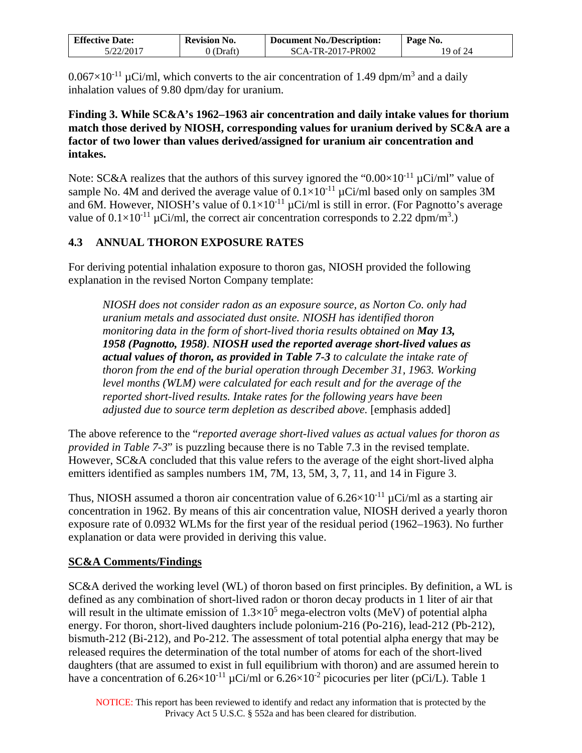| <b>Effective Date:</b> | <b>Revision No.</b> | <b>Document No./Description:</b> | Page No. |
|------------------------|---------------------|----------------------------------|----------|
| 5/22/2017              | (Draft)             | SCA-TR-2017-PR002                | 19 of 24 |

 $0.067\times10^{-11}$  µCi/ml, which converts to the air concentration of 1.49 dpm/m<sup>3</sup> and a daily inhalation values of 9.80 dpm/day for uranium.

**Finding 3. While SC&A's 1962–1963 air concentration and daily intake values for thorium match those derived by NIOSH, corresponding values for uranium derived by SC&A are a factor of two lower than values derived/assigned for uranium air concentration and intakes.**

Note: SC&A realizes that the authors of this survey ignored the " $0.00 \times 10^{-11}$  µCi/ml" value of sample No. 4M and derived the average value of  $0.1\times10^{-11}$  µCi/ml based only on samples 3M and 6M. However, NIOSH's value of  $0.1 \times 10^{-11}$   $\mu$ Ci/ml is still in error. (For Pagnotto's average value of  $0.1 \times 10^{-11}$  µCi/ml, the correct air concentration corresponds to 2.22 dpm/m<sup>3</sup>.)

## <span id="page-18-0"></span>**4.3 ANNUAL THORON EXPOSURE RATES**

For deriving potential inhalation exposure to thoron gas, NIOSH provided the following explanation in the revised Norton Company template:

*NIOSH does not consider radon as an exposure source, as Norton Co. only had uranium metals and associated dust onsite. NIOSH has identified thoron monitoring data in the form of short-lived thoria results obtained on May 13, 1958 (Pagnotto, 1958). NIOSH used the reported average short-lived values as actual values of thoron, as provided in Table 7-3 to calculate the intake rate of thoron from the end of the burial operation through December 31, 1963. Working level months (WLM) were calculated for each result and for the average of the reported short-lived results. Intake rates for the following years have been adjusted due to source term depletion as described above.* [emphasis added]

The above reference to the "*reported average short-lived values as actual values for thoron as provided in Table 7-3*" is puzzling because there is no Table 7.3 in the revised template. However, SC&A concluded that this value refers to the average of the eight short-lived alpha emitters identified as samples numbers 1M, 7M, 13, 5M, 3, 7, 11, and 14 in Figure 3.

Thus, NIOSH assumed a thoron air concentration value of  $6.26\times10^{-11}$   $\mu$ Ci/ml as a starting air concentration in 1962. By means of this air concentration value, NIOSH derived a yearly thoron exposure rate of 0.0932 WLMs for the first year of the residual period (1962–1963). No further explanation or data were provided in deriving this value.

### **SC&A Comments/Findings**

SC&A derived the working level (WL) of thoron based on first principles. By definition, a WL is defined as any combination of short-lived radon or thoron decay products in 1 liter of air that will result in the ultimate emission of  $1.3 \times 10^5$  mega-electron volts (MeV) of potential alpha energy. For thoron, short-lived daughters include polonium-216 (Po-216), lead-212 (Pb-212), bismuth-212 (Bi-212), and Po-212. The assessment of total potential alpha energy that may be released requires the determination of the total number of atoms for each of the short-lived daughters (that are assumed to exist in full equilibrium with thoron) and are assumed herein to have a concentration of  $6.26 \times 10^{-11}$   $\mu$ Ci/ml or  $6.26 \times 10^{-2}$  picocuries per liter (pCi/L). Table 1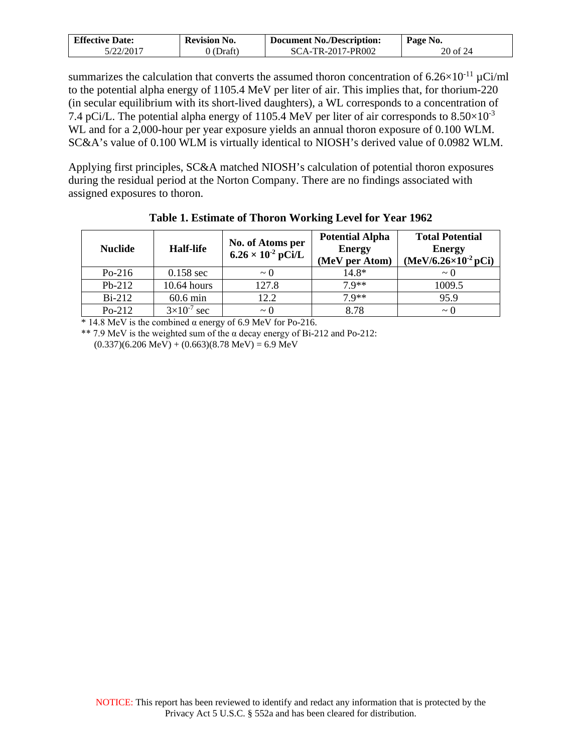| <b>Effective Date:</b> | <b>Revision No.</b> | <b>Document No./Description:</b> | Page No. |
|------------------------|---------------------|----------------------------------|----------|
| 5/22/2017              | 0 (Draft)           | SCA-TR-2017-PR002                | 20 of 24 |

summarizes the calculation that converts the assumed thoron concentration of  $6.26 \times 10^{-11} \mu$ Ci/ml to the potential alpha energy of 1105.4 MeV per liter of air. This implies that, for thorium-220 (in secular equilibrium with its short-lived daughters), a WL corresponds to a concentration of 7.4 pCi/L. The potential alpha energy of 1105.4 MeV per liter of air corresponds to  $8.50\times10^{-3}$ WL and for a 2,000-hour per year exposure yields an annual thoron exposure of 0.100 WLM. SC&A's value of 0.100 WLM is virtually identical to NIOSH's derived value of 0.0982 WLM.

Applying first principles, SC&A matched NIOSH's calculation of potential thoron exposures during the residual period at the Norton Company. There are no findings associated with assigned exposures to thoron.

| <b>Nuclide</b> | <b>Half-life</b>     | No. of Atoms per<br>$6.26 \times 10^{-2}$ pCi/L | <b>Potential Alpha</b><br><b>Energy</b><br>(MeV per Atom) | <b>Total Potential</b><br><b>Energy</b><br>$(MeV/6.26\times10^{-2}pCi)$ |
|----------------|----------------------|-------------------------------------------------|-----------------------------------------------------------|-------------------------------------------------------------------------|
| $Po-216$       | $0.158$ sec          | $\sim$ ()                                       | 14.8*                                                     | $\sim$ ()                                                               |
| $Pb-212$       | 10.64 hours          | 127.8                                           | $7.9**$                                                   | 1009.5                                                                  |
| $Bi-212$       | $60.6$ min           | 12.2                                            | $79**$                                                    | 95.9                                                                    |
| $Po-212$       | $3\times10^{-7}$ sec | $\sim$ 0                                        | 8.78                                                      | $\sim$ 0                                                                |

**Table 1. Estimate of Thoron Working Level for Year 1962** 

 $*$  14.8 MeV is the combined  $\alpha$  energy of 6.9 MeV for Po-216.

\*\* 7.9 MeV is the weighted sum of the α decay energy of Bi-212 and Po-212:  $(0.337)(6.206 \text{ MeV}) + (0.663)(8.78 \text{ MeV}) = 6.9 \text{ MeV}$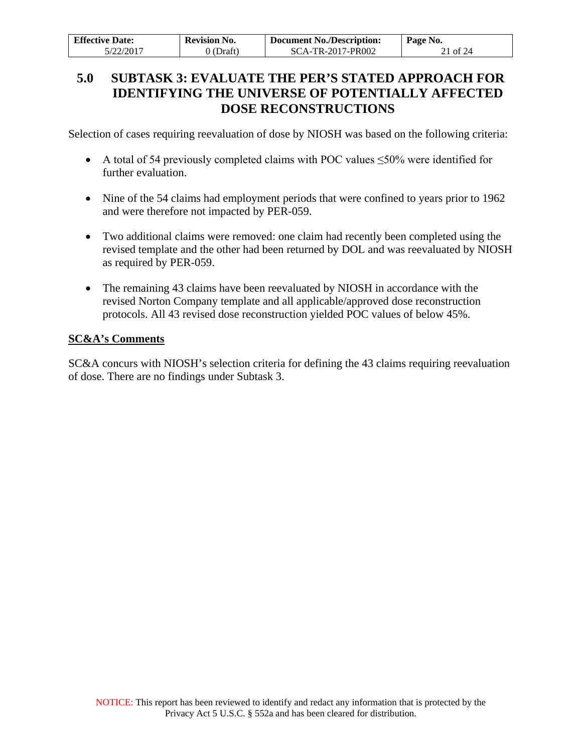| <b>Effective Date:</b> | <b>Revision No.</b> | <b>Document No./Description:</b> | Page No. |
|------------------------|---------------------|----------------------------------|----------|
| 5/22/2017              | 0 (Draft)           | SCA-TR-2017-PR002                | 21 of 24 |

## <span id="page-20-0"></span>**5.0 SUBTASK 3: EVALUATE THE PER'S STATED APPROACH FOR IDENTIFYING THE UNIVERSE OF POTENTIALLY AFFECTED DOSE RECONSTRUCTIONS**

Selection of cases requiring reevaluation of dose by NIOSH was based on the following criteria:

- A total of 54 previously completed claims with POC values ≤50% were identified for further evaluation.
- Nine of the 54 claims had employment periods that were confined to years prior to 1962 and were therefore not impacted by PER-059.
- Two additional claims were removed: one claim had recently been completed using the revised template and the other had been returned by DOL and was reevaluated by NIOSH as required by PER-059.
- The remaining 43 claims have been reevaluated by NIOSH in accordance with the revised Norton Company template and all applicable/approved dose reconstruction protocols. All 43 revised dose reconstruction yielded POC values of below 45%.

## **SC&A's Comments**

SC&A concurs with NIOSH's selection criteria for defining the 43 claims requiring reevaluation of dose. There are no findings under Subtask 3.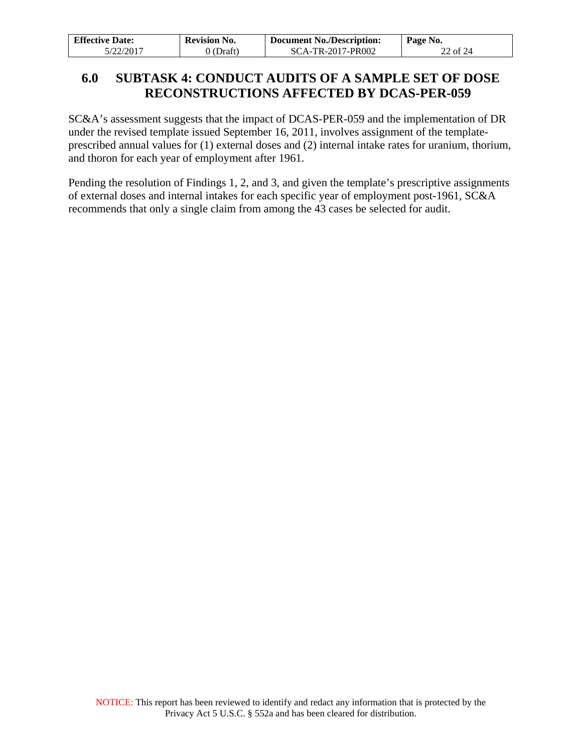| <b>Effective Date:</b> | <b>Revision No.</b> | <b>Document No./Description:</b> | Page No. |
|------------------------|---------------------|----------------------------------|----------|
| 5/22/2017              | 0 (Draft)           | SCA-TR-2017-PR002                | 22 of 24 |

## <span id="page-21-0"></span>**6.0 SUBTASK 4: CONDUCT AUDITS OF A SAMPLE SET OF DOSE RECONSTRUCTIONS AFFECTED BY DCAS-PER-059**

SC&A's assessment suggests that the impact of DCAS-PER-059 and the implementation of DR under the revised template issued September 16, 2011, involves assignment of the templateprescribed annual values for (1) external doses and (2) internal intake rates for uranium, thorium, and thoron for each year of employment after 1961.

Pending the resolution of Findings 1, 2, and 3, and given the template's prescriptive assignments of external doses and internal intakes for each specific year of employment post-1961, SC&A recommends that only a single claim from among the 43 cases be selected for audit.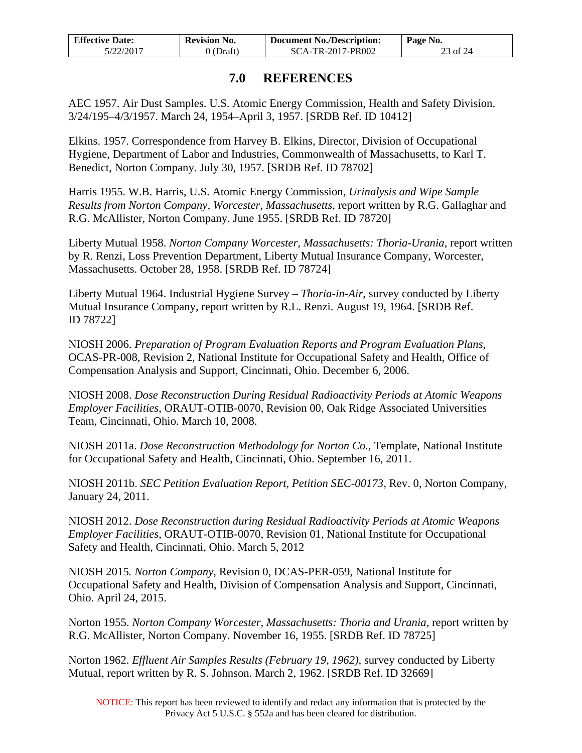| <b>Effective Date:</b> | <b>Revision No.</b> | <b>Document No./Description:</b> | Page No. |
|------------------------|---------------------|----------------------------------|----------|
| 5/22/2017              | 0 (Draft)           | SCA-TR-2017-PR002                | 23 of 24 |

## **7.0 REFERENCES**

<span id="page-22-0"></span>AEC 1957. Air Dust Samples. U.S. Atomic Energy Commission, Health and Safety Division. 3/24/195–4/3/1957. March 24, 1954–April 3, 1957. [SRDB Ref. ID 10412]

Elkins. 1957. Correspondence from Harvey B. Elkins, Director, Division of Occupational Hygiene, Department of Labor and Industries, Commonwealth of Massachusetts, to Karl T. Benedict, Norton Company. July 30, 1957. [SRDB Ref. ID 78702]

Harris 1955. W.B. Harris, U.S. Atomic Energy Commission, *Urinalysis and Wipe Sample Results from Norton Company, Worcester, Massachusetts*, report written by R.G. Gallaghar and R.G. McAllister, Norton Company. June 1955. [SRDB Ref. ID 78720]

Liberty Mutual 1958. *Norton Company Worcester, Massachusetts: Thoria-Urania*, report written by R. Renzi, Loss Prevention Department, Liberty Mutual Insurance Company, Worcester, Massachusetts. October 28, 1958. [SRDB Ref. ID 78724]

Liberty Mutual 1964. Industrial Hygiene Survey – *Thoria-in-Air*, survey conducted by Liberty Mutual Insurance Company, report written by R.L. Renzi. August 19, 1964. [SRDB Ref. ID 78722]

NIOSH 2006. *Preparation of Program Evaluation Reports and Program Evaluation Plans*, OCAS-PR-008, Revision 2, National Institute for Occupational Safety and Health, Office of Compensation Analysis and Support, Cincinnati, Ohio. December 6, 2006.

NIOSH 2008. *Dose Reconstruction During Residual Radioactivity Periods at Atomic Weapons Employer Facilities*, ORAUT-OTIB-0070, Revision 00, Oak Ridge Associated Universities Team, Cincinnati, Ohio. March 10, 2008.

NIOSH 2011a. *Dose Reconstruction Methodology for Norton Co.*, Template, National Institute for Occupational Safety and Health, Cincinnati, Ohio. September 16, 2011.

NIOSH 2011b. *SEC Petition Evaluation Report, Petition SEC-00173*, Rev. 0, Norton Company, January 24, 2011.

NIOSH 2012. *Dose Reconstruction during Residual Radioactivity Periods at Atomic Weapons Employer Facilities*, ORAUT-OTIB-0070, Revision 01, National Institute for Occupational Safety and Health, Cincinnati, Ohio. March 5, 2012

NIOSH 2015*. Norton Company*, Revision 0, DCAS-PER-059, National Institute for Occupational Safety and Health, Division of Compensation Analysis and Support, Cincinnati, Ohio. April 24, 2015.

Norton 1955. *Norton Company Worcester, Massachusetts: Thoria and Urania*, report written by R.G. McAllister, Norton Company. November 16, 1955. [SRDB Ref. ID 78725]

Norton 1962. *Effluent Air Samples Results (February 19, 1962)*, survey conducted by Liberty Mutual, report written by R. S. Johnson. March 2, 1962. [SRDB Ref. ID 32669]